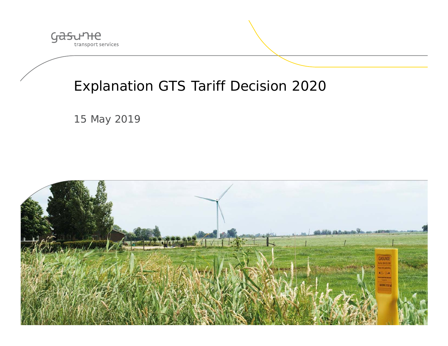

## Explanation GTS Tariff Decision 2020

15 May 2019

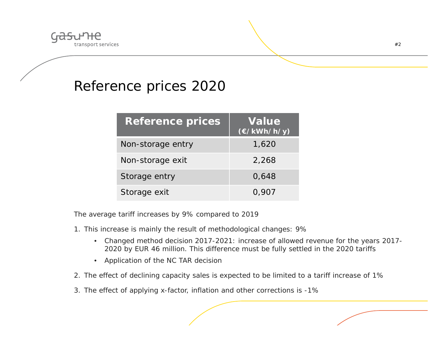

#### Reference prices 2020

| <b>Reference prices</b> | <b>Value</b><br>$(\epsilon/kWh/h/y)$ |
|-------------------------|--------------------------------------|
| Non-storage entry       | 1,620                                |
| Non-storage exit        | 2,268                                |
| Storage entry           | 0,648                                |
| Storage exit            | 0,907                                |

The average tariff increases by 9% compared to 2019

- 1. This increase is mainly the result of methodological changes: 9%
	- Changed method decision 2017-2021: increase of allowed revenue for the years 2017- 2020 by EUR 46 million. This difference must be fully settled in the 2020 tariffs
	- Application of the NC TAR decisior
- 2. The effect of declining capacity sales is expected to be limited to a tariff increase of 1%
- 3. The effect of applying x-factor, inflation and other corrections is -1%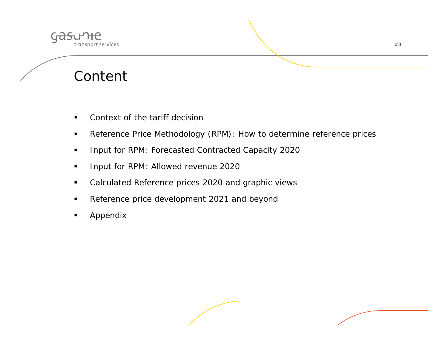

## Content

- $\blacksquare$ Context of the tariff decision
- $\blacksquare$ Reference Price Methodology (RPM): How to determine reference prices
- $\blacksquare$ Input for RPM: Forecasted Contracted Capacity 2020
- $\blacksquare$ Input for RPM: Allowed revenue 2020
- $\blacksquare$ Calculated Reference prices 2020 and graphic views
- $\blacksquare$ Reference price development 2021 and beyond
- $\blacksquare$ Appendix

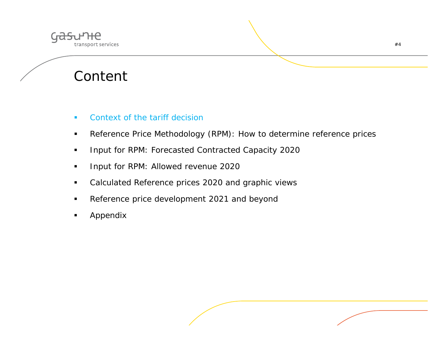

## Content

#### $\mathbf{r}$ Context of the tariff decision

- $\blacksquare$ Reference Price Methodology (RPM): How to determine reference prices
- $\blacksquare$ Input for RPM: Forecasted Contracted Capacity 2020
- $\blacksquare$ Input for RPM: Allowed revenue 2020
- $\blacksquare$ Calculated Reference prices 2020 and graphic views
- $\blacksquare$ Reference price development 2021 and beyond
- $\blacksquare$ Appendix

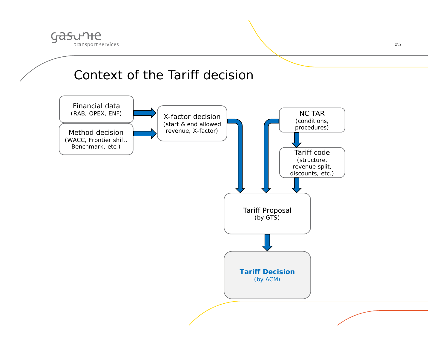

#### Context of the Tariff decision

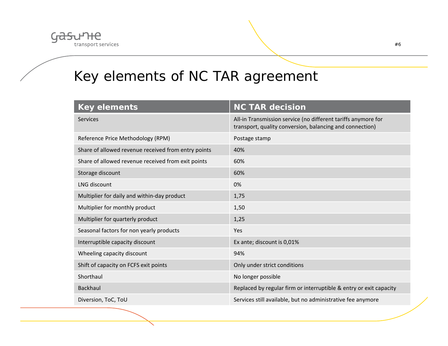

# Key elements of NC TAR agreement

| <b>Key elements</b>                                 | <b>NC TAR decision</b>                                                                                                    |
|-----------------------------------------------------|---------------------------------------------------------------------------------------------------------------------------|
| <b>Services</b>                                     | All-in Transmission service (no different tariffs anymore for<br>transport, quality conversion, balancing and connection) |
| Reference Price Methodology (RPM)                   | Postage stamp                                                                                                             |
| Share of allowed revenue received from entry points | 40%                                                                                                                       |
| Share of allowed revenue received from exit points  | 60%                                                                                                                       |
| Storage discount                                    | 60%                                                                                                                       |
| LNG discount                                        | 0%                                                                                                                        |
| Multiplier for daily and within-day product         | 1,75                                                                                                                      |
| Multiplier for monthly product                      | 1,50                                                                                                                      |
| Multiplier for quarterly product                    | 1,25                                                                                                                      |
| Seasonal factors for non yearly products            | <b>Yes</b>                                                                                                                |
| Interruptible capacity discount                     | Ex ante; discount is 0,01%                                                                                                |
| Wheeling capacity discount                          | 94%                                                                                                                       |
| Shift of capacity on FCFS exit points               | Only under strict conditions                                                                                              |
| Shorthaul                                           | No longer possible                                                                                                        |
| <b>Backhaul</b>                                     | Replaced by regular firm or interruptible & entry or exit capacity                                                        |
| Diversion, ToC, ToU                                 | Services still available, but no administrative fee anymore                                                               |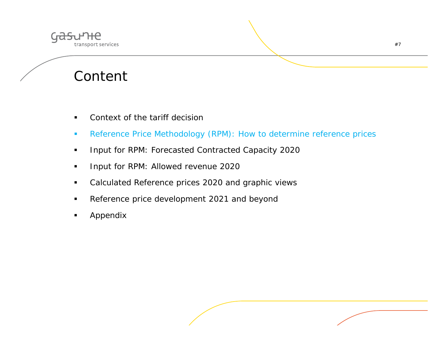

## Content

- $\blacksquare$ Context of the tariff decision
- $\mathcal{L}_{\mathcal{A}}$ Reference Price Methodology (RPM): How to determine reference prices
- $\blacksquare$ Input for RPM: Forecasted Contracted Capacity 2020
- $\blacksquare$ Input for RPM: Allowed revenue 2020
- $\blacksquare$ Calculated Reference prices 2020 and graphic views
- $\blacksquare$ Reference price development 2021 and beyond
- $\blacksquare$ Appendix

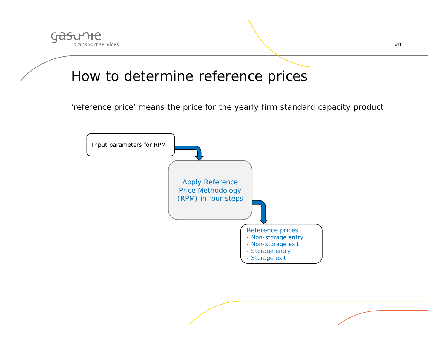

#### How to determine reference prices

'reference price' means the price for the yearly firm standard capacity product

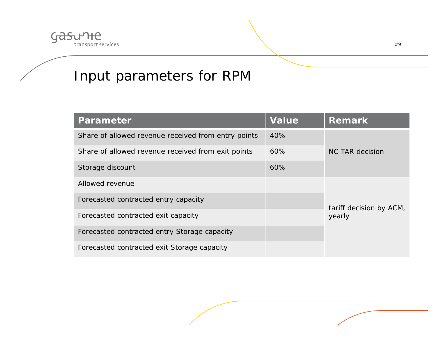

## Input parameters for RPM

| <b>Parameter</b>                                    | <b>Value</b> | <b>Remark</b>                     |  |
|-----------------------------------------------------|--------------|-----------------------------------|--|
| Share of allowed revenue received from entry points | 40%          |                                   |  |
| Share of allowed revenue received from exit points  | 60%          | NC TAR decision                   |  |
| Storage discount                                    | 60%          |                                   |  |
| Allowed revenue                                     |              |                                   |  |
| Forecasted contracted entry capacity                |              |                                   |  |
| Forecasted contracted exit capacity                 |              | tariff decision by ACM,<br>yearly |  |
| Forecasted contracted entry Storage capacity        |              |                                   |  |
| Forecasted contracted exit Storage capacity         |              |                                   |  |

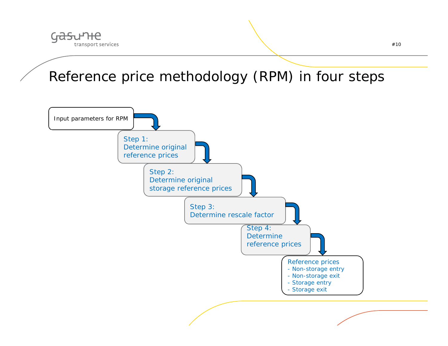

Reference price methodology (RPM) in four steps

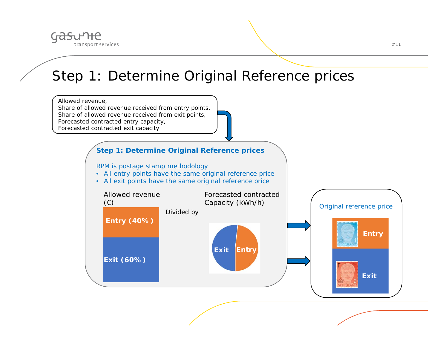

### Step 1: Determine Original Reference prices

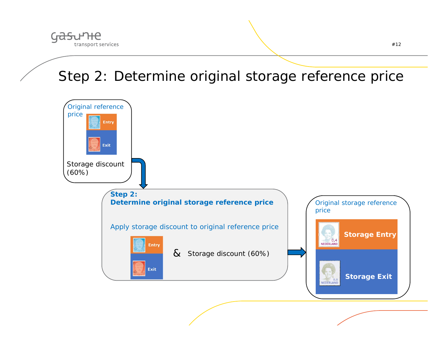

## Step 2: Determine original storage reference price

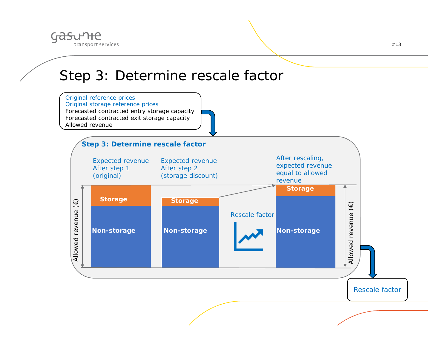

#### Step 3: Determine rescale factor

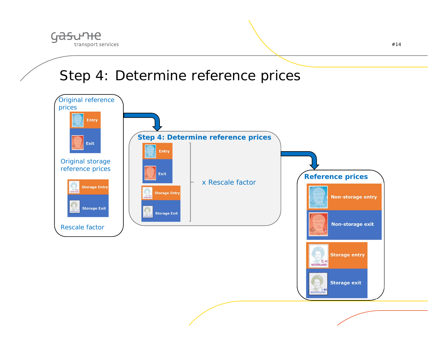

## Step 4: Determine reference prices

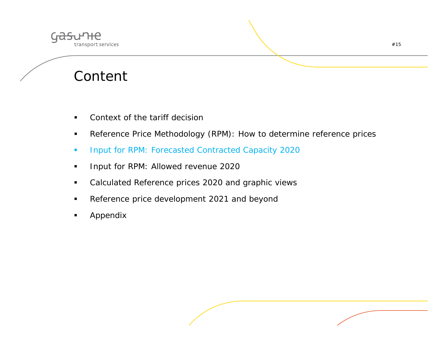

## Content

- $\blacksquare$ Context of the tariff decision
- $\blacksquare$ Reference Price Methodology (RPM): How to determine reference prices
- $\blacksquare$ Input for RPM: Forecasted Contracted Capacity 2020
- $\blacksquare$ Input for RPM: Allowed revenue 2020
- $\blacksquare$ Calculated Reference prices 2020 and graphic views
- $\blacksquare$ Reference price development 2021 and beyond
- $\blacksquare$ Appendix

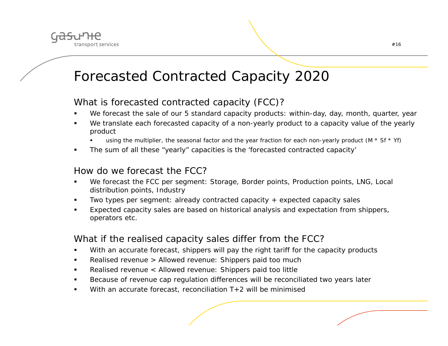

#### Forecasted Contracted Capacity 2020

#### What is forecasted contracted capacity (FCC)?

- $\blacksquare$ We forecast the sale of our 5 standard capacity products: within-day, day, month, quarter, year
- n We translate each forecasted capacity of a non-yearly product to a capacity value of the yearly product
	- n using the multiplier, the seasonal factor and the year fraction for each non-yearly product (M  $*$  Sf  $*$  Yf)
- $\blacksquare$ The sum of all these "yearly" capacities is the 'forecasted contracted capacity'

#### How do we forecast the FCC?

- n We forecast the FCC per segment: Storage, Border points, Production points, LNG, Local distribution points, Industry
- n Two types per segment: already contracted capacity + expected capacity sales
- n Expected capacity sales are based on historical analysis and expectation from shippers, operators etc.

#### What if the realised capacity sales differ from the FCC?

- $\blacksquare$ With an accurate forecast, shippers will pay the right tariff for the capacity products
- $\blacksquare$ Realised revenue > Allowed revenue: Shippers paid too much
- Realised revenue < Allowed revenue: Shippers paid too little
- n Because of revenue cap regulation differences will be reconciliated two years later
- $\blacksquare$ With an accurate forecast, reconciliation T+2 will be minimised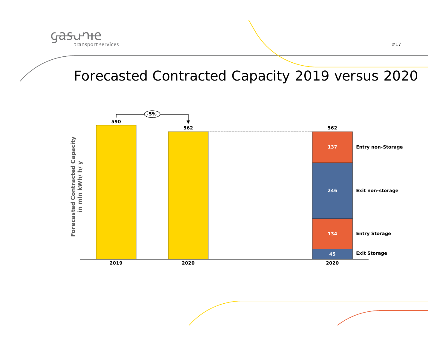

### Forecasted Contracted Capacity 2019 versus 2020

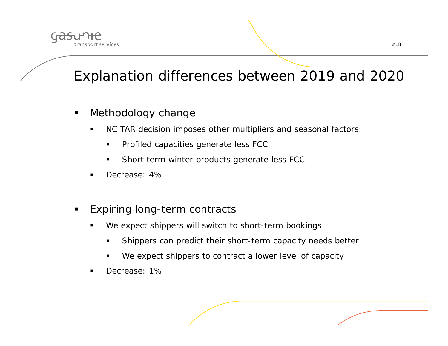

## Explanation differences between 2019 and 2020

- п Methodology change
	- $\blacksquare$  NC TAR decision imposes other multipliers and seasonal factors:
		- $\blacksquare$ Profiled capacities generate less FCC
		- $\blacksquare$ Short term winter products generate less FCC
	- Decrease: 4%
- $\blacksquare$  Expiring long-term contracts
	- We expect shippers will switch to short-term bookings
		- $\blacksquare$ Shippers can predict their short-term capacity needs better
		- We expect shippers to contract a lower level of capacity
	- Decrease: 1%

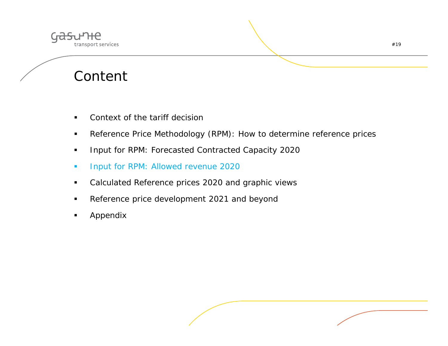

## Content

- $\blacksquare$ Context of the tariff decision
- $\blacksquare$ Reference Price Methodology (RPM): How to determine reference prices
- $\blacksquare$ Input for RPM: Forecasted Contracted Capacity 2020
- $\mathcal{L}_{\mathcal{A}}$ Input for RPM: Allowed revenue 2020
- $\blacksquare$ Calculated Reference prices 2020 and graphic views
- $\blacksquare$ Reference price development 2021 and beyond
- $\blacksquare$ Appendix

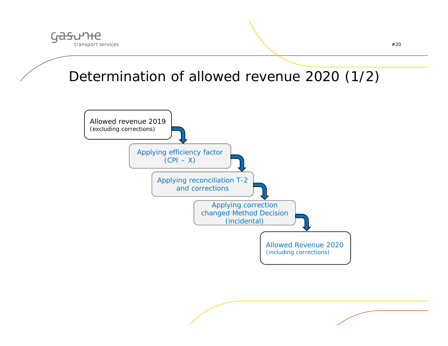

### Determination of allowed revenue 2020 (1/2)

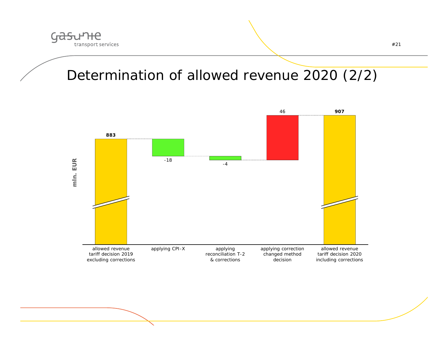

### Determination of allowed revenue 2020 (2/2)

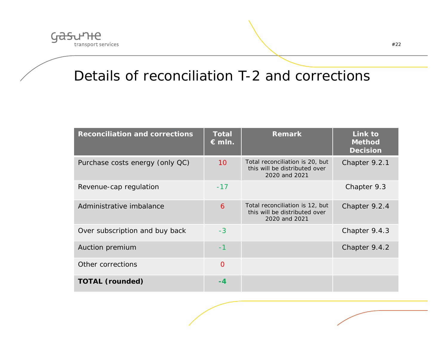

#### Details of reconciliation T-2 and corrections

| <b>Reconciliation and corrections</b> | <b>Total</b><br>$\epsilon$ mln. | <b>Remark</b>                                                                     | Link to<br><b>Method</b><br><b>Decision</b> |
|---------------------------------------|---------------------------------|-----------------------------------------------------------------------------------|---------------------------------------------|
| Purchase costs energy (only QC)       | 10 <sup>°</sup>                 | Total reconciliation is 20, but<br>this will be distributed over<br>2020 and 2021 | Chapter 9.2.1                               |
| Revenue-cap regulation                | $-17$                           |                                                                                   | Chapter 9.3                                 |
| Administrative imbalance              | 6                               | Total reconciliation is 12, but<br>this will be distributed over<br>2020 and 2021 | Chapter 9.2.4                               |
| Over subscription and buy back        | $-3$                            |                                                                                   | Chapter 9.4.3                               |
| Auction premium                       | $-1$                            |                                                                                   | Chapter 9.4.2                               |
| Other corrections                     | $\overline{O}$                  |                                                                                   |                                             |
| <b>TOTAL (rounded)</b>                | -4                              |                                                                                   |                                             |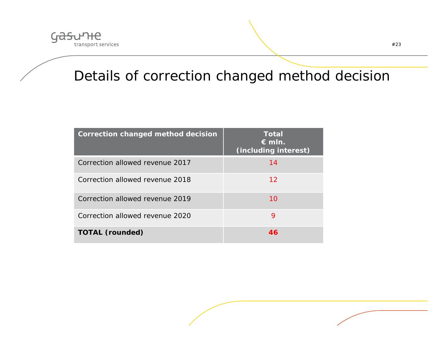

## Details of correction changed method decision

| Correction changed method decision | <b>Total</b><br>$\epsilon$ mln.<br><i>(including interest)</i> |
|------------------------------------|----------------------------------------------------------------|
| Correction allowed revenue 2017    | 14                                                             |
| Correction allowed revenue 2018    | 12                                                             |
| Correction allowed revenue 2019    | 10                                                             |
| Correction allowed revenue 2020    | 9                                                              |
| <b>TOTAL (rounded)</b>             | 46                                                             |

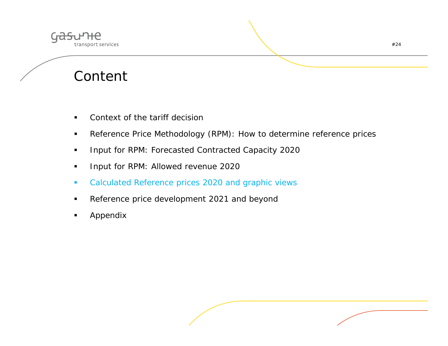

## Content

- $\blacksquare$ Context of the tariff decision
- $\blacksquare$ Reference Price Methodology (RPM): How to determine reference prices
- $\blacksquare$ Input for RPM: Forecasted Contracted Capacity 2020
- $\blacksquare$ Input for RPM: Allowed revenue 2020
- $\mathcal{L}_{\mathcal{A}}$ Calculated Reference prices 2020 and graphic views
- $\blacksquare$ Reference price development 2021 and beyond
- $\blacksquare$ Appendix

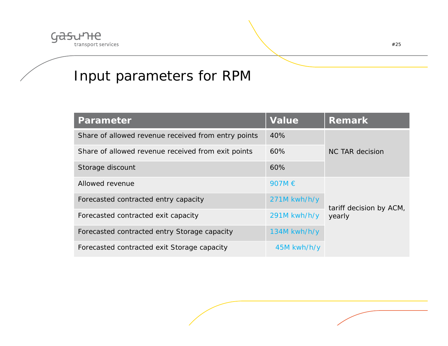

## Input parameters for RPM

| <b>Parameter</b>                                    | <b>Value</b>   | <b>Remark</b>           |
|-----------------------------------------------------|----------------|-------------------------|
| Share of allowed revenue received from entry points | 40%            |                         |
| Share of allowed revenue received from exit points  | 60%            | NC TAR decision         |
| Storage discount                                    | 60%            |                         |
| Allowed revenue                                     | 907M €         |                         |
| Forecasted contracted entry capacity                | 271M kwh/h/y   | tariff decision by ACM, |
| Forecasted contracted exit capacity                 | 291M kwh/h/y   | yearly                  |
| Forecasted contracted entry Storage capacity        | $134M$ kwh/h/y |                         |
| Forecasted contracted exit Storage capacity         | 45M kwh/h/y    |                         |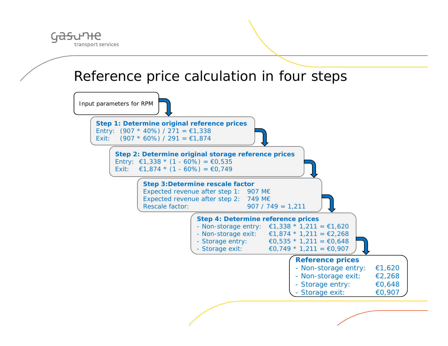

#### Reference price calculation in four steps

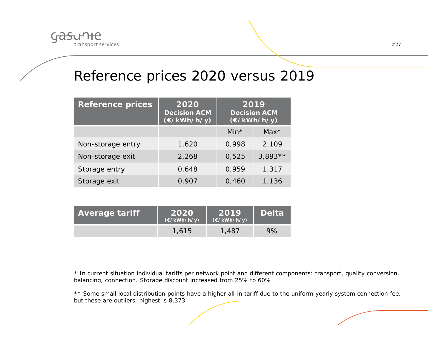

#### Reference prices 2020 versus 2019

| <b>Reference prices</b> | 2020<br><b>Decision ACM</b><br>$(\epsilon/kWh/h/y)$ | 2019<br><b>Decision ACM</b><br>$(\epsilon/kWh/h/y)$ |           |
|-------------------------|-----------------------------------------------------|-----------------------------------------------------|-----------|
|                         |                                                     | Min $*$                                             | $Max^*$   |
| Non-storage entry       | 1,620                                               | 0,998                                               | 2,109     |
| Non-storage exit        | 2,268                                               | 0,525                                               | $3,893**$ |
| Storage entry           | 0,648                                               | 0,959                                               | 1,317     |
| Storage exit            | 0,907                                               | 0,460                                               | 1,136     |

| <b>Average tariff</b><br>2020<br>$(\epsilon$ /kWh/h/y) |       | 2019<br>$(\epsilon/kWh/h/y)$ | <b>Delta</b> |
|--------------------------------------------------------|-------|------------------------------|--------------|
|                                                        | 1,615 | 1,487                        | 9%           |

\* In current situation individual tariffs per network point and different components: transport, quality conversion, balancing, connection. Storage discount increased from 25% to 60%

\*\* Some small local distribution points have a higher all-in tariff due to the uniform yearly system connection fee, but these are outliers, highest is 8,373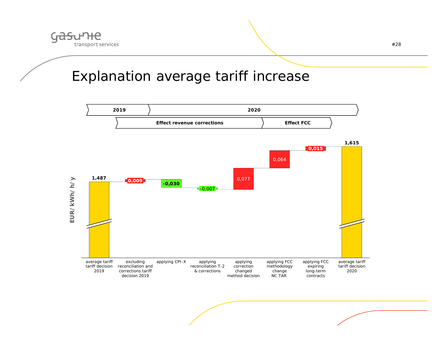

#### Explanation average tariff increase

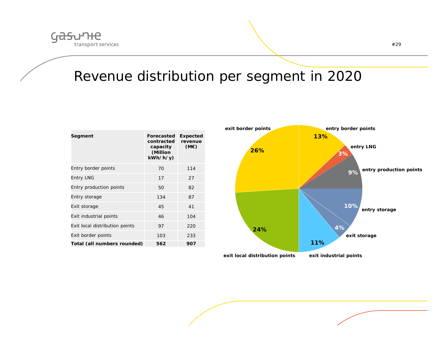

## Revenue distribution per segment in 2020

| Segment                        | Forecasted<br>contracted<br>capacity<br>(Million<br>kWh/h/y) | <b>Expected</b><br>revenue<br>(ME) |
|--------------------------------|--------------------------------------------------------------|------------------------------------|
| Entry border points            | 70                                                           | 114                                |
| Entry LNG                      | 17                                                           | 27                                 |
| Entry production points        | 50                                                           | 82                                 |
| Entry storage                  | 134                                                          | 87                                 |
| Exit storage                   | 45                                                           | 41                                 |
| Exit industrial points         | 46                                                           | 104                                |
| Exit local distribution points | 97                                                           | 220                                |
| Exit border points             | 103                                                          | 233                                |
| Total (all numbers rounded)    | 562                                                          | 907                                |

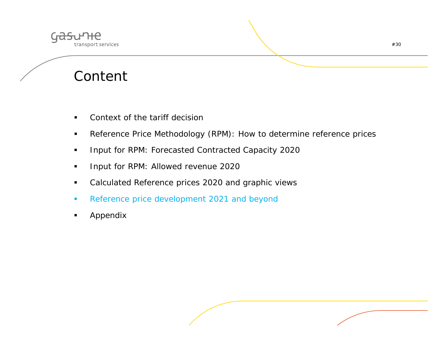

## Content

- $\blacksquare$ Context of the tariff decision
- $\blacksquare$ Reference Price Methodology (RPM): How to determine reference prices
- $\blacksquare$ Input for RPM: Forecasted Contracted Capacity 2020
- $\blacksquare$ Input for RPM: Allowed revenue 2020
- $\blacksquare$ Calculated Reference prices 2020 and graphic views
- $\mathcal{L}_{\mathcal{A}}$ Reference price development 2021 and beyond
- $\blacksquare$ Appendix

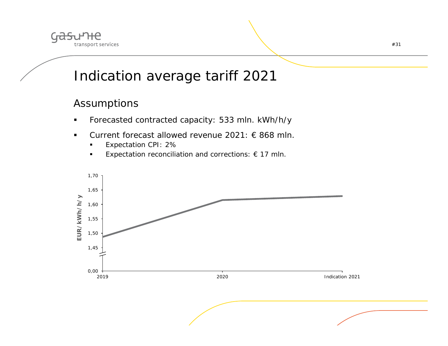

### Indication average tariff 2021

#### Assumptions

- $\blacksquare$ Forecasted contracted capacity: 533 mln. kWh/h/y
- $\blacksquare$  Current forecast allowed revenue 2021: € 868 mln.
	- n Expectation CPI: 2%
	- п Expectation reconciliation and corrections:  $\epsilon$  17 mln.

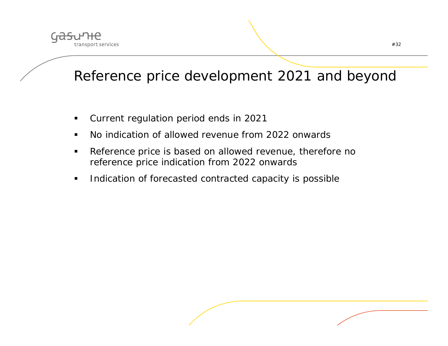

## Reference price development 2021 and beyond

- $\blacksquare$ Current regulation period ends in 2021
- $\blacksquare$ No indication of allowed revenue from 2022 onwards
- $\blacksquare$  Reference price is based on allowed revenue, therefore no reference price indication from 2022 onwards
- $\blacksquare$ Indication of forecasted contracted capacity is possible

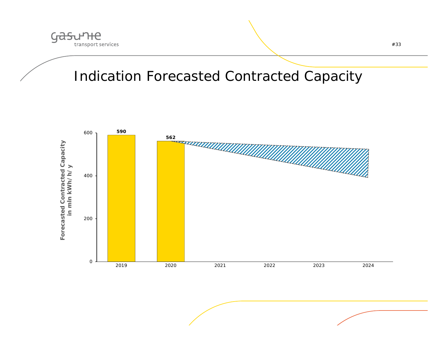

#### Indication Forecasted Contracted Capacity

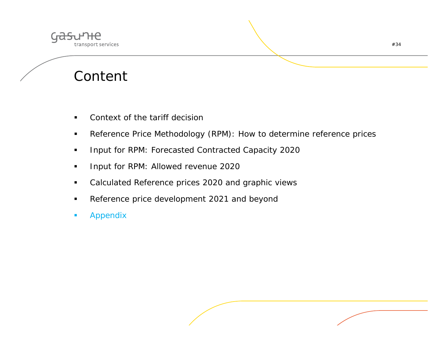

## Content

- $\blacksquare$ Context of the tariff decision
- $\blacksquare$ Reference Price Methodology (RPM): How to determine reference prices
- $\blacksquare$ Input for RPM: Forecasted Contracted Capacity 2020
- $\blacksquare$ Input for RPM: Allowed revenue 2020
- $\blacksquare$ Calculated Reference prices 2020 and graphic views
- $\blacksquare$ Reference price development 2021 and beyond
- $\blacksquare$ Appendix

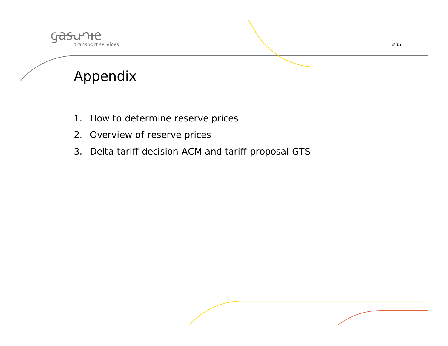

## Appendix

- 1. How to determine reserve prices
- 2. Overview of reserve prices
- 3. Delta tariff decision ACM and tariff proposal GTS

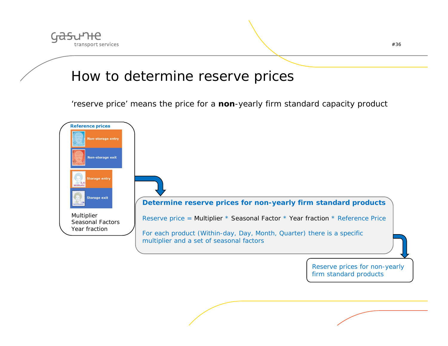

#### How to determine reserve prices

'reserve price' means the price for a **non**-yearly firm standard capacity product

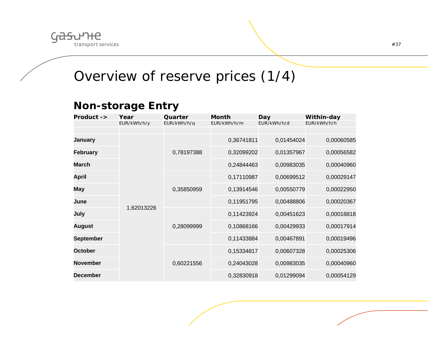

### Overview of reserve prices (1/4)

#### **Non-storage Entry**

| Product ->       | Year        | Quarter     | <b>Month</b> | Day         | Within-day  |
|------------------|-------------|-------------|--------------|-------------|-------------|
|                  | EUR/kWh/h/y | EUR/kWh/h/q | EUR/kWh/h/m  | EUR/kWh/h/d | EUR/kWh/h/h |
|                  |             |             |              |             |             |
| January          |             |             | 0,36741811   | 0,01454024  | 0,00060585  |
| <b>February</b>  |             | 0,78197388  | 0,32099202   | 0,01357967  | 0,00056582  |
| <b>March</b>     |             |             | 0,24844463   | 0,00983035  | 0,00040960  |
| April            |             |             | 0,17110987   | 0,00699512  | 0,00029147  |
| <b>May</b>       |             | 0,35850959  | 0,13914546   | 0,00550779  | 0,00022950  |
| June             | 1,62013226  |             | 0,11951795   | 0,00488806  | 0,00020367  |
| July             |             | 0,28099999  | 0,11423924   | 0,00451623  | 0,00018818  |
| August           |             |             | 0,10868166   | 0,00429933  | 0,00017914  |
| <b>September</b> |             |             | 0,11433884   | 0,00467891  | 0,00019496  |
| <b>October</b>   |             |             | 0,15334817   | 0,00607328  | 0,00025306  |
| <b>November</b>  |             | 0,60221556  | 0,24043028   | 0,00983035  | 0,00040960  |
| <b>December</b>  |             |             | 0,32830918   | 0,01299094  | 0,00054129  |

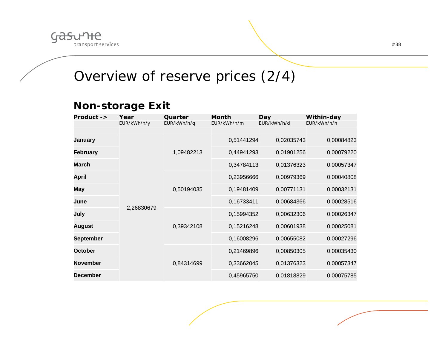

### Overview of reserve prices (2/4)

#### **Non-storage Exit**

| Product ->       | Year        | Quarter     | Month       | Day         | Within-day  |            |
|------------------|-------------|-------------|-------------|-------------|-------------|------------|
|                  | EUR/kWh/h/y | EUR/kWh/h/q | EUR/kWh/h/m | EUR/kWh/h/d | EUR/kWh/h/h |            |
|                  |             |             |             |             |             |            |
| January          |             |             | 0,51441294  | 0,02035743  | 0,00084823  |            |
| <b>February</b>  |             | 1,09482213  | 0,44941293  | 0,01901256  | 0,00079220  |            |
| <b>March</b>     |             |             | 0,34784113  | 0,01376323  | 0,00057347  |            |
| April            |             |             | 0,23956666  | 0,00979369  | 0,00040808  |            |
| <b>May</b>       |             | 0,50194035  | 0,19481409  | 0,00771131  | 0,00032131  |            |
| June             | 2,26830679  |             | 0,16733411  | 0,00684366  | 0,00028516  |            |
| July             |             |             | 0,15994352  | 0,00632306  | 0,00026347  |            |
| August           |             | 0,39342108  |             | 0,15216248  | 0,00601938  | 0,00025081 |
| <b>September</b> |             |             | 0,16008296  | 0,00655082  | 0,00027296  |            |
| <b>October</b>   |             |             | 0,21469896  | 0,00850305  | 0,00035430  |            |
| <b>November</b>  |             | 0,84314699  | 0,33662045  | 0,01376323  | 0,00057347  |            |
| <b>December</b>  |             |             | 0,45965750  | 0,01818829  | 0,00075785  |            |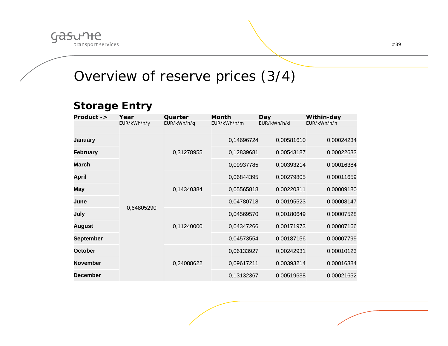

#### Overview of reserve prices (3/4)

#### **Storage Entry**

| $Product ->$     | Year        | Quarter     | Month       | Day         | Within-day  |
|------------------|-------------|-------------|-------------|-------------|-------------|
|                  | EUR/kWh/h/y | EUR/kWh/h/q | EUR/kWh/h/m | EUR/kWh/h/d | EUR/kWh/h/h |
|                  |             |             |             |             |             |
| <b>January</b>   |             |             | 0,14696724  | 0,00581610  | 0,00024234  |
| <b>February</b>  |             | 0,31278955  | 0,12839681  | 0,00543187  | 0,00022633  |
| <b>March</b>     |             |             | 0,09937785  | 0,00393214  | 0,00016384  |
| <b>April</b>     |             |             | 0,06844395  | 0,00279805  | 0,00011659  |
| May              |             | 0,14340384  | 0,05565818  | 0,00220311  | 0,00009180  |
| June             | 0,64805290  |             | 0,04780718  | 0,00195523  | 0,00008147  |
| July             |             |             | 0,04569570  | 0,00180649  | 0,00007528  |
| August           |             | 0,11240000  | 0,04347266  | 0,00171973  | 0,00007166  |
| <b>September</b> |             |             | 0,04573554  | 0,00187156  | 0,00007799  |
| October          |             |             | 0,06133927  | 0,00242931  | 0,00010123  |
| <b>November</b>  |             | 0,24088622  | 0,09617211  | 0,00393214  | 0,00016384  |
| <b>December</b>  |             |             | 0,13132367  | 0,00519638  | 0,00021652  |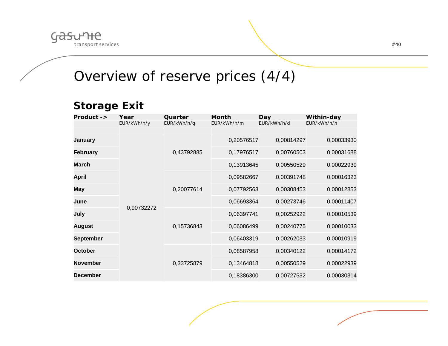

#### Overview of reserve prices (4/4)

#### **Storage Exit**

| Product ->       | Year        | Quarter     | <b>Month</b> | <b>Day</b>  | Within-day  |
|------------------|-------------|-------------|--------------|-------------|-------------|
|                  | EUR/kWh/h/y | EUR/kWh/h/q | EUR/kWh/h/m  | EUR/kWh/h/d | EUR/kWh/h/h |
|                  |             |             |              |             |             |
| <b>January</b>   | 0,90732272  | 0,43792885  | 0,20576517   | 0,00814297  | 0,00033930  |
| <b>February</b>  |             |             | 0,17976517   | 0,00760503  | 0,00031688  |
| March            |             |             | 0,13913645   | 0,00550529  | 0,00022939  |
| April            |             | 0,20077614  | 0,09582667   | 0,00391748  | 0,00016323  |
| May              |             |             | 0,07792563   | 0,00308453  | 0,00012853  |
| June             |             |             | 0,06693364   | 0,00273746  | 0,00011407  |
| July             |             | 0,15736843  | 0,06397741   | 0,00252922  | 0,00010539  |
| <b>August</b>    |             |             | 0,06086499   | 0,00240775  | 0,00010033  |
| <b>September</b> |             |             | 0,06403319   | 0,00262033  | 0,00010919  |
| October          |             | 0,33725879  | 0,08587958   | 0,00340122  | 0,00014172  |
| <b>November</b>  |             |             | 0,13464818   | 0,00550529  | 0,00022939  |
| <b>December</b>  |             |             | 0,18386300   | 0,00727532  | 0,00030314  |